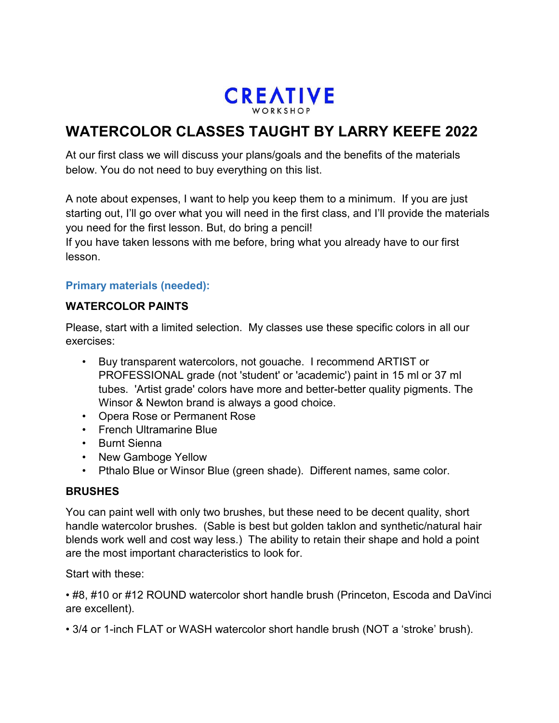

# **WATERCOLOR CLASSES TAUGHT BY LARRY KEEFE 2022**

At our first class we will discuss your plans/goals and the benefits of the materials below. You do not need to buy everything on this list.

A note about expenses, I want to help you keep them to a minimum. If you are just starting out, I'll go over what you will need in the first class, and I'll provide the materials you need for the first lesson. But, do bring a pencil!

If you have taken lessons with me before, bring what you already have to our first lesson.

# **Primary materials (needed):**

# **WATERCOLOR PAINTS**

Please, start with a limited selection. My classes use these specific colors in all our exercises:

- Buy transparent watercolors, not gouache. I recommend ARTIST or PROFESSIONAL grade (not 'student' or 'academic') paint in 15 ml or 37 ml tubes. 'Artist grade' colors have more and better-better quality pigments. The Winsor & Newton brand is always a good choice.
- Opera Rose or Permanent Rose
- French Ultramarine Blue
- Burnt Sienna
- New Gamboge Yellow
- Pthalo Blue or Winsor Blue (green shade). Different names, same color.

#### **BRUSHES**

You can paint well with only two brushes, but these need to be decent quality, short handle watercolor brushes. (Sable is best but golden taklon and synthetic/natural hair blends work well and cost way less.) The ability to retain their shape and hold a point are the most important characteristics to look for.

Start with these:

• #8, #10 or #12 ROUND watercolor short handle brush (Princeton, Escoda and DaVinci are excellent).

• 3/4 or 1-inch FLAT or WASH watercolor short handle brush (NOT a 'stroke' brush).